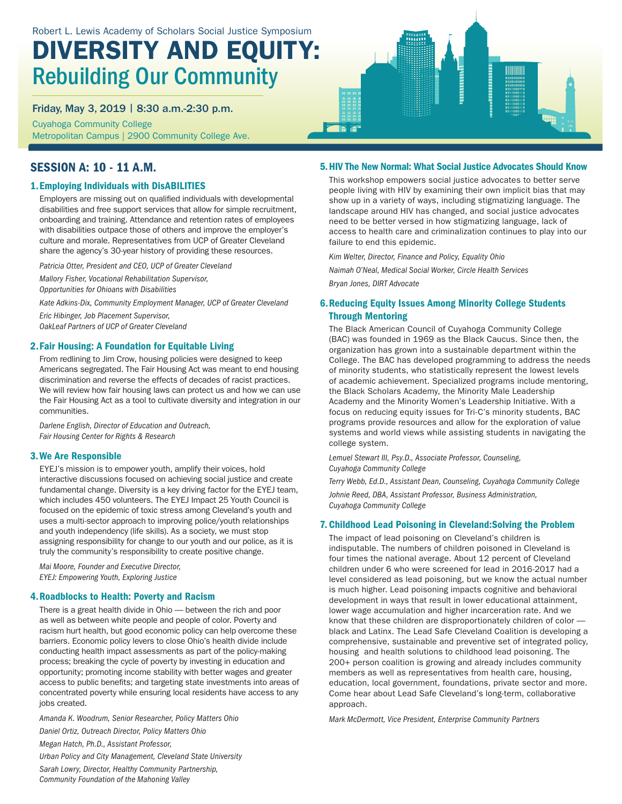# DIVERSITY AND EQUITY: Rebuilding Our Community

Friday, May 3, 2019 | 8:30 a.m.-2:30 p.m.

Cuyahoga Community College Metropolitan Campus | 2900 Community College Ave.

# SESSION A: 10 - 11 A.M.

## 1.Employing Individuals with DisABILITIES

Employers are missing out on qualified individuals with developmental disabilities and free support services that allow for simple recruitment, onboarding and training. Attendance and retention rates of employees with disabilities outpace those of others and improve the employer's culture and morale. Representatives from UCP of Greater Cleveland share the agency's 30-year history of providing these resources.

*Patricia Otter, President and CEO, UCP of Greater Cleveland*

*Mallory Fisher, Vocational Rehabilitation Supervisor,* 

*Opportunities for Ohioans with Disabilities*

*Kate Adkins-Dix, Community Employment Manager, UCP of Greater Cleveland*

*Eric Hibinger, Job Placement Supervisor, OakLeaf Partners of UCP of Greater Cleveland*

### 2.Fair Housing: A Foundation for Equitable Living

From redlining to Jim Crow, housing policies were designed to keep Americans segregated. The Fair Housing Act was meant to end housing discrimination and reverse the effects of decades of racist practices. We will review how fair housing laws can protect us and how we can use the Fair Housing Act as a tool to cultivate diversity and integration in our communities.

*Darlene English, Director of Education and Outreach, Fair Housing Center for Rights & Research*

### 3.We Are Responsible

EYEJ's mission is to empower youth, amplify their voices, hold interactive discussions focused on achieving social justice and create fundamental change. Diversity is a key driving factor for the EYEJ team, which includes 450 volunteers. The EYEJ Impact 25 Youth Council is focused on the epidemic of toxic stress among Cleveland's youth and uses a multi-sector approach to improving police/youth relationships and youth independency (life skills). As a society, we must stop assigning responsibility for change to our youth and our police, as it is truly the community's responsibility to create positive change.

*Mai Moore, Founder and Executive Director, EYEJ: Empowering Youth, Exploring Justice*

### 4.Roadblocks to Health: Poverty and Racism

There is a great health divide in Ohio — between the rich and poor as well as between white people and people of color. Poverty and racism hurt health, but good economic policy can help overcome these barriers. Economic policy levers to close Ohio's health divide include conducting health impact assessments as part of the policy-making process; breaking the cycle of poverty by investing in education and opportunity; promoting income stability with better wages and greater access to public benefits; and targeting state investments into areas of concentrated poverty while ensuring local residents have access to any jobs created.

*Amanda K. Woodrum, Senior Researcher, Policy Matters Ohio*

*Daniel Ortiz, Outreach Director, Policy Matters Ohio*

*Megan Hatch, Ph.D., Assistant Professor,* 

*Urban Policy and City Management, Cleveland State University* 

*Sarah Lowry, Director, Healthy Community Partnership, Community Foundation of the Mahoning Valley*

### 5.HIV The New Normal: What Social Justice Advocates Should Know

This workshop empowers social justice advocates to better serve people living with HIV by examining their own implicit bias that may show up in a variety of ways, including stigmatizing language. The landscape around HIV has changed, and social justice advocates need to be better versed in how stigmatizing language, lack of access to health care and criminalization continues to play into our failure to end this epidemic.

*Kim Welter, Director, Finance and Policy, Equality Ohio*

*Naimah O'Neal, Medical Social Worker, Circle Health Services Bryan Jones, DIRT Advocate*

### 6.Reducing Equity Issues Among Minority College Students Through Mentoring

The Black American Council of Cuyahoga Community College (BAC) was founded in 1969 as the Black Caucus. Since then, the organization has grown into a sustainable department within the College. The BAC has developed programming to address the needs of minority students, who statistically represent the lowest levels of academic achievement. Specialized programs include mentoring, the Black Scholars Academy, the Minority Male Leadership Academy and the Minority Women's Leadership Initiative. With a focus on reducing equity issues for Tri-C's minority students, BAC programs provide resources and allow for the exploration of value systems and world views while assisting students in navigating the college system.

*Lemuel Stewart III, Psy.D., Associate Professor, Counseling, Cuyahoga Community College*

*Terry Webb, Ed.D., Assistant Dean, Counseling, Cuyahoga Community College*

*Johnie Reed, DBA, Assistant Professor, Business Administration, Cuyahoga Community College*

### 7. Childhood Lead Poisoning in Cleveland:Solving the Problem

The impact of lead poisoning on Cleveland's children is indisputable. The numbers of children poisoned in Cleveland is four times the national average. About 12 percent of Cleveland children under 6 who were screened for lead in 2016-2017 had a level considered as lead poisoning, but we know the actual number is much higher. Lead poisoning impacts cognitive and behavioral development in ways that result in lower educational attainment, lower wage accumulation and higher incarceration rate. And we know that these children are disproportionately children of color black and Latinx. The Lead Safe Cleveland Coalition is developing a comprehensive, sustainable and preventive set of integrated policy, housing and health solutions to childhood lead poisoning. The 200+ person coalition is growing and already includes community members as well as representatives from health care, housing, education, local government, foundations, private sector and more. Come hear about Lead Safe Cleveland's long-term, collaborative approach.

*Mark McDermott, Vice President, Enterprise Community Partners*